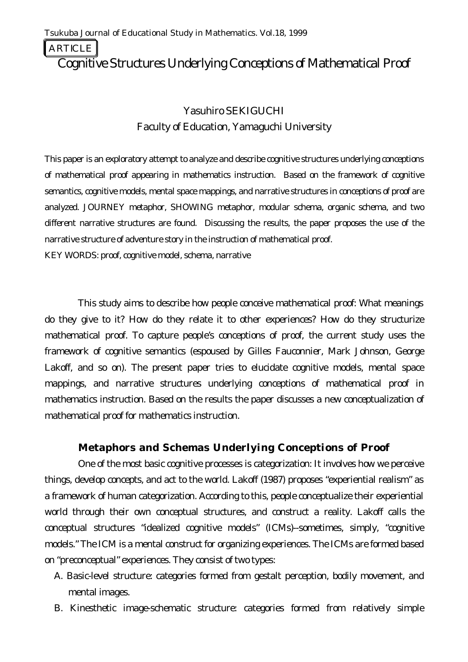ARTICLE

# Cognitive Structures Underlying Conceptions of Mathematical Proof

# Yasuhiro SEKIGUCHI Faculty of Education, Yamaguchi University

*This paper is an exploratory attempt to analyze and describe cognitive structures underlying conceptions of mathematical proof appearing in mathematics instruction. Based on the framework of cognitive semantics, cognitive models, mental space mappings, and narrative structures in conceptions of proof are analyzed. JOURNEY metaphor, SHOWING metaphor, modular schema, organic schema, and two different narrative structures are found. Discussing the results, the paper proposes the use of the narrative structure of adventure story in the instruction of mathematical proof.* KEY WORDS: proof, cognitive model, schema, narrative

This study aims to describe how people conceive mathematical proof: What meanings do they give to it? How do they relate it to other experiences? How do they structurize mathematical proof. To capture people's conceptions of proof, the current study uses the framework of cognitive semantics (espoused by Gilles Fauconnier, Mark Johnson, George Lakoff, and so on). The present paper tries to elucidate cognitive models, mental space mappings, and narrative structures underlying conceptions of mathematical proof in mathematics instruction. Based on the results the paper discusses a new conceptualization of mathematical proof for mathematics instruction.

### **Metaphors and Schemas Underlying Conceptions of Proof**

One of the most basic cognitive processes is categorization: It involves how we perceive things, develop concepts, and act to the world. Lakoff (1987) proposes "experiential realism" as a framework of human categorization. According to this, people conceptualize their experiential world through their own conceptual structures, and construct a reality. Lakoff calls the conceptual structures "idealized cognitive models" (ICMs)--sometimes, simply, "cognitive models." The ICM is a mental construct for organizing experiences. The ICMs are formed based on "preconceptual" experiences. They consist of two types:

- A. Basic-level structure: categories formed from gestalt perception, bodily movement, and mental images.
- B. Kinesthetic image-schematic structure: categories formed from relatively simple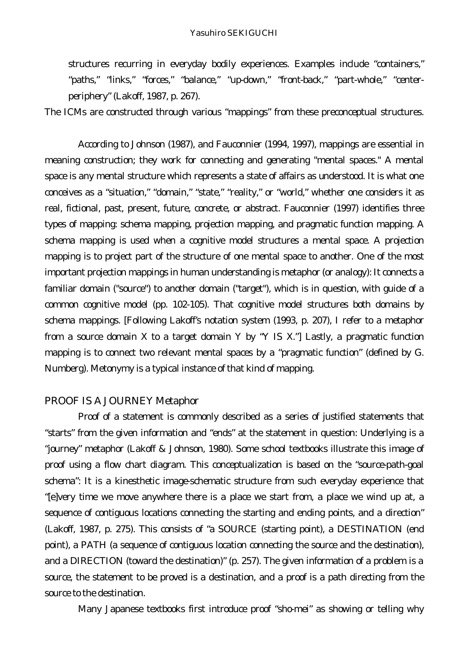structures recurring in everyday bodily experiences. Examples include "containers," "paths," "links," "forces," "balance," "up-down," "front-back," "part-whole," "centerperiphery" (Lakoff, 1987, p. 267).

The ICMs are constructed through various "mappings" from these preconceptual structures.

According to Johnson (1987), and Fauconnier (1994, 1997), mappings are essential in meaning construction; they work for connecting and generating "mental spaces." A mental space is any mental structure which represents a state of affairs as understood. It is what one conceives as a "situation," "domain," "state," "reality," or "world," whether one considers it as real, fictional, past, present, future, concrete, or abstract. Fauconnier (1997) identifies three types of mapping: schema mapping, projection mapping, and pragmatic function mapping. A schema mapping is used when a cognitive model structures a mental space. A projection mapping is to project part of the structure of one mental space to another. One of the most important projection mappings in human understanding is metaphor (or analogy): It connects a familiar domain ("source") to another domain ("target"), which is in question, with guide of a common cognitive model (pp. 102-105). That cognitive model structures both domains by schema mappings. [Following Lakoff's notation system (1993, p. 207), I refer to a metaphor from a source domain X to a target domain Y by "Y IS X."] Lastly, a pragmatic function mapping is to connect two relevant mental spaces by a "pragmatic function" (defined by G. Numberg). Metonymy is a typical instance of that kind of mapping.

#### *PROOF IS A JOURNEY Metaphor*

Proof of a statement is commonly described as a series of justified statements that "starts" from the given information and "ends" at the statement in question: Underlying is a "journey" metaphor (Lakoff & Johnson, 1980). Some school textbooks illustrate this image of proof using a flow chart diagram. This conceptualization is based on the "source-path-goal schema": It is a kinesthetic image-schematic structure from such everyday experience that "[e]very time we move anywhere there is a place we start from, a place we wind up at, a sequence of contiguous locations connecting the starting and ending points, and a direction" (Lakoff, 1987, p. 275). This consists of "a SOURCE (starting point), a DESTINATION (end point), a PATH (a sequence of contiguous location connecting the source and the destination), and a DIRECTION (toward the destination)" (p. 257). The given information of a problem is a source, the statement to be proved is a destination, and a proof is a path directing from the source to the destination.

Many Japanese textbooks first introduce proof "sho-mei" as showing or telling why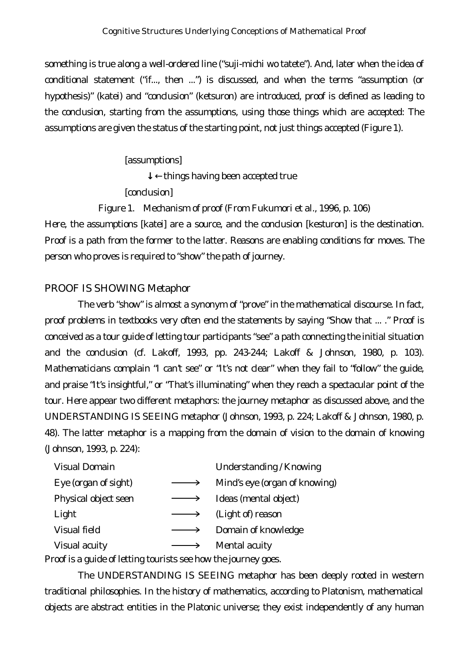something is true along a well-ordered line ("suji-michi wo tatete"). And, later when the idea of conditional statement ("if..., then ...") is discussed, and when the terms "assumption (or hypothesis)" (katei) and "conclusion" (ketsuron) are introduced, proof is defined as leading to the conclusion, *starting from* the assumptions, using those things which are accepted: The assumptions are given the status of the starting point, not just things accepted (Figure 1).

## [assumptions]

things having been accepted true

[conclusion]

*Figure 1*. Mechanism of proof (From Fukumori et al., 1996, p. 106)

Here, the assumptions [katei] are a source, and the conclusion [kesturon] is the destination. Proof is a path from the former to the latter. Reasons are enabling conditions for moves. The person who proves is required to "show" the path of journey.

# *PROOF IS SHOWING Metaphor*

The verb "show" is almost a synonym of "prove" in the mathematical discourse. In fact, proof problems in textbooks very often end the statements by saying "Show that ... ." Proof is conceived as a tour guide of letting tour participants "see" a path connecting the initial situation and the conclusion (cf. Lakoff, 1993, pp. 243-244; Lakoff & Johnson, 1980, p. 103). Mathematicians complain "I can't see" or "It's not clear" when they fail to "follow" the guide, and praise "It's insightful," or "That's illuminating" when they reach a spectacular point of the tour. Here appear two different metaphors: the journey metaphor as discussed above, and the UNDERSTANDING IS SEEING metaphor (Johnson, 1993, p. 224; Lakoff & Johnson, 1980, p. 48). The latter metaphor is a mapping from the domain of vision to the domain of knowing (Johnson, 1993, p. 224):

| <b>Visual Domain</b> | Understanding / Knowing       |
|----------------------|-------------------------------|
| Eye (organ of sight) | Mind's eye (organ of knowing) |
| Physical object seen | Ideas (mental object)         |
| Light                | (Light of) reason             |
| Visual field         | Domain of knowledge           |
| Visual acuity        | Mental acuity                 |
|                      |                               |

Proof is a guide of letting tourists see how the journey goes.

The UNDERSTANDING IS SEEING metaphor has been deeply rooted in western traditional philosophies. In the history of mathematics, according to Platonism, mathematical objects are abstract entities in the Platonic universe; they exist independently of any human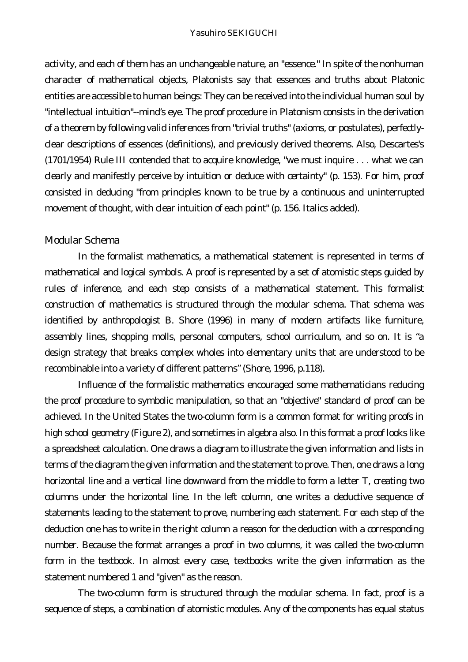activity, and each of them has an unchangeable nature, an "essence." In spite of the nonhuman character of mathematical objects, Platonists say that essences and truths about Platonic entities are accessible to human beings: They can be received into the individual human soul by "intellectual intuition"--*mind's eye*. The proof procedure in Platonism consists in the derivation of a theorem by following valid inferences from "trivial truths" (axioms, or postulates), *perfectlyclear* descriptions of essences (definitions), and previously derived theorems. Also, Descartes's (1701/1954) Rule III contended that to acquire knowledge, "we must inquire . . . what we can clearly and manifestly perceive by intuition or deduce with certainty" (p. 153). For him, proof consisted in deducing "from principles known to be true by a continuous and uninterrupted movement of thought, with *clear intuition of each point*" (p. 156. Italics added).

#### *Modular Schema*

In the formalist mathematics, a mathematical statement is represented in terms of mathematical and logical symbols. A proof is represented by a set of atomistic steps guided by rules of inference, and each step consists of a mathematical statement. This formalist construction of mathematics is structured through the modular schema. That schema was identified by anthropologist B. Shore (1996) in many of modern artifacts like furniture, assembly lines, shopping molls, personal computers, school curriculum, and so on. It is "a design strategy that breaks complex wholes into elementary units that are understood to be recombinable into a variety of different patterns" (Shore, 1996, p.118).

Influence of the formalistic mathematics encouraged some mathematicians reducing the proof procedure to symbolic manipulation, so that an "objective" standard of proof can be achieved. In the United States the two-column form is a common format for writing proofs in high school geometry (Figure 2), and sometimes in algebra also. In this format a proof looks like a spreadsheet calculation. One draws a diagram to illustrate the given information and lists in terms of the diagram the given information and the statement to prove. Then, one draws a long horizontal line and a vertical line downward from the middle to form a letter T, creating two columns under the horizontal line. In the left column, one writes a deductive sequence of statements leading to the statement to prove, numbering each statement. For each step of the deduction one has to write in the right column a reason for the deduction with a corresponding number. Because the format arranges a proof in two columns, it was called the two-column form in the textbook. In almost every case, textbooks write the given information as the statement numbered 1 and "given" as the reason.

The two-column form is structured through the modular schema. In fact, proof is a sequence of steps, a combination of atomistic modules. Any of the components has equal status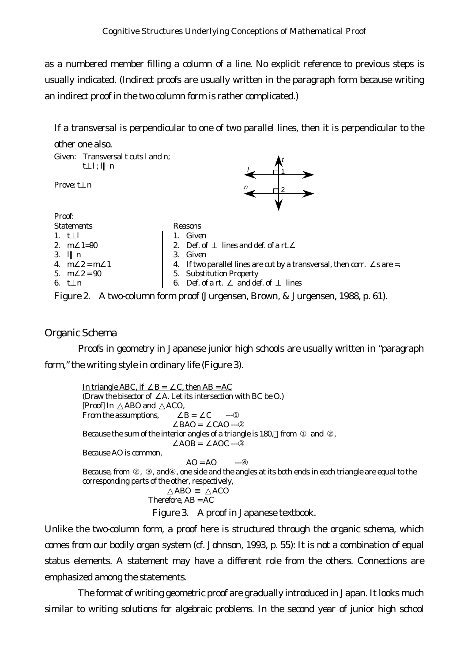as a numbered member filling a column of a line. No explicit reference to previous steps is usually indicated. (Indirect proofs are usually written in the paragraph form because writing an indirect proof in the two column form is rather complicated.)

If a transversal is perpendicular to one of two parallel lines, then it is perpendicular to the other one also.

| Given: Transversal $t$ cuts $l$ and $n$ ;<br>$t \quad l; l \quad n$ |                                                                             |  |  |
|---------------------------------------------------------------------|-----------------------------------------------------------------------------|--|--|
| Prove: $t \, n$                                                     |                                                                             |  |  |
| Proof:                                                              |                                                                             |  |  |
| <b>Statements</b>                                                   | Reasons                                                                     |  |  |
| 1. $t$ 1                                                            | 1. Given                                                                    |  |  |
| 2. $m = 1 = 90$                                                     | lines and def. of a rt.<br>2. Def. of                                       |  |  |
| 3. $1 n$                                                            | 3. Given                                                                    |  |  |
| 4. $m \ 2 = m \ 1$                                                  | 4. If two parallel lines are cut by a transversal, then corr. $s$ are $=$ . |  |  |
| 5. $m \quad 2 = 90$                                                 | 5. Substitution Property                                                    |  |  |
| 6. t n                                                              | Def. of a rt. and def. of<br>6.<br>lines                                    |  |  |

*Figure 2*. A two-column form proof (Jurgensen, Brown, & Jurgensen, 1988, p. 61).

#### *Organic Schema*

Proofs in geometry in Japanese junior high schools are usually written in "paragraph form," the writing style in ordinary life (Figure 3).

In triangle ABC, if  $B = C$ , then AB = AC (Draw the bisector of A. Let its intersection with BC be O.) [Proof] In ABO and ACO, From the assumptions,  $B = C$  $BAO = CAO$  ---Because the sum of the interior angles of a triangle is 180, from and,  $AOB = AOC -$ Because AO is common,  $AO = AO$ Because, from , , and , one side and the angles at its both ends in each triangle are equal to the corresponding parts of the other, respectively, ABO ACO Therefore, AB = AC

*Figure 3*. A proof in Japanese textbook.

Unlike the two-column form, a proof here is structured through the organic schema, which comes from our bodily organ system (cf. Johnson, 1993, p. 55): It is not a combination of equal status elements. A statement may have a different role from the others. Connections are emphasized among the statements.

The format of writing geometric proof are gradually introduced in Japan. It looks much similar to writing solutions for algebraic problems. In the second year of junior high school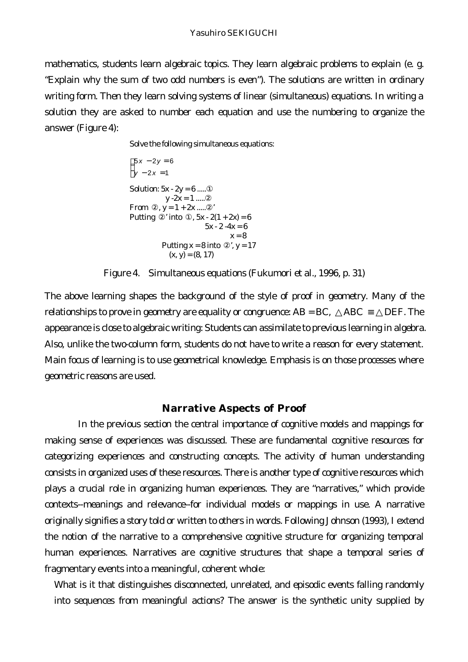mathematics, students learn algebraic topics. They learn algebraic problems to explain (e. g. "Explain why the sum of two odd numbers is even"). The solutions are written in ordinary writing form. Then they learn solving systems of linear (simultaneous) equations. In writing a solution they are asked to number each equation and use the numbering to organize the answer (Figure 4):

Solve the following simultaneous equations:

```
\int 5x - 2y = 6y − 2y =<br>y − 2x = 1
Solution: 5x - 2y = 6 .....
          y - 2x = 1 .....
From , y = 1 + 2x .....
Putting ' into , 5x - 2(1 + 2x) = 65x - 2 - 4x = 6x = 8Putting x = 8 into \dot{x}, y = 17(x, y) = (8, 17)
```
*Figure 4*. Simultaneous equations (Fukumori et al., 1996, p. 31)

The above learning shapes the background of the style of proof in geometry. Many of the relationships to prove in geometry are equality or congruence:  $AB = BC$ ,  $\overline{ABC}$   $\overline{DEF}$ . The appearance is close to algebraic writing: Students can assimilate to previous learning in algebra. Also, unlike the two-column form, students do not have to write a reason for every statement. Main focus of learning is to use geometrical knowledge. Emphasis is on those processes where geometric reasons are used.

#### **Narrative Aspects of Proof**

In the previous section the central importance of cognitive models and mappings for making sense of experiences was discussed. These are fundamental cognitive resources for categorizing experiences and constructing concepts. The activity of human understanding consists in organized uses of these resources. There is another type of cognitive resources which plays a crucial role in organizing human experiences. They are "narratives," which provide contexts--meanings and relevance--for individual models or mappings in use. A narrative originally signifies a story told or written to others in words. Following Johnson (1993), I extend the notion of the narrative to a comprehensive cognitive structure for organizing temporal human experiences. Narratives are cognitive structures that shape a temporal series of fragmentary events into a meaningful, coherent whole:

What is it that distinguishes disconnected, unrelated, and episodic events falling randomly into sequences from meaningful actions? The answer is the synthetic unity supplied by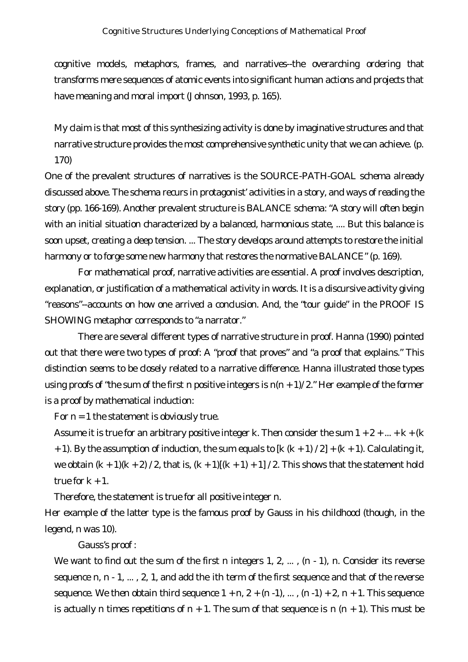cognitive models, metaphors, frames, and narratives--the overarching ordering that transforms mere sequences of atomic events into significant human actions and projects that have meaning and moral import (Johnson, 1993, p. 165).

My claim is that most of this synthesizing activity is done by imaginative structures and that narrative structure provides the most comprehensive synthetic unity that we can achieve. (p. 170)

One of the prevalent structures of narratives is the SOURCE-PATH-GOAL schema already discussed above. The schema recurs in protagonist' activities in a story, and ways of reading the story (pp. 166-169). Another prevalent structure is BALANCE schema: "A story will often begin with an initial situation characterized by a balanced, harmonious state, .... But this balance is soon upset, creating a deep tension. ... The story develops around attempts to restore the initial harmony or to forge some new harmony that restores the normative BALANCE" (p. 169).

For mathematical proof, narrative activities are essential. A proof involves description, explanation, or justification of a mathematical activity in words. It is a discursive activity giving "reasons"--accounts on how one arrived a conclusion. And, the "tour guide" in the PROOF IS SHOWING metaphor corresponds to "a narrator."

There are several different types of narrative structure in proof. Hanna (1990) pointed out that there were two types of proof: A "proof that proves" and "a proof that explains." This distinction seems to be closely related to a narrative difference. Hanna illustrated those types using proofs of "the sum of the first *n* positive integers is  $n(n + 1)/2$ ." Her example of the former is a proof by mathematical induction:

For  $n = 1$  the statement is obviously true.

Assume it is true for an arbitrary positive integer *k*. Then consider the sum  $1 + 2 + ... + k + (k)$ + 1). By the assumption of induction, the sum equals to [*k* (*k* + 1) / 2] + (*k* + 1). Calculating it, we obtain  $(k + 1)(k + 2)$  / 2, that is,  $(k + 1)[(k + 1) + 1]$  / 2. This shows that the statement hold true for  $k + 1$ .

Therefore, the statement is true for all positive integer *n*.

Her example of the latter type is the famous proof by Gauss in his childhood (though, in the legend, *n* was 10).

Gauss's proof :

We want to find out the sum of the first *n* integers 1, 2, ...,  $(n-1)$ , *n*. Consider its reverse sequence *n*, *n* - 1, ... , 2, 1, and add the *i*th term of the first sequence and that of the reverse sequence. We then obtain third sequence  $1 + n$ ,  $2 + (n-1)$ , ...,  $(n-1) + 2$ ,  $n + 1$ . This sequence is actually *n* times repetitions of  $n + 1$ . The sum of that sequence is  $n (n + 1)$ . This must be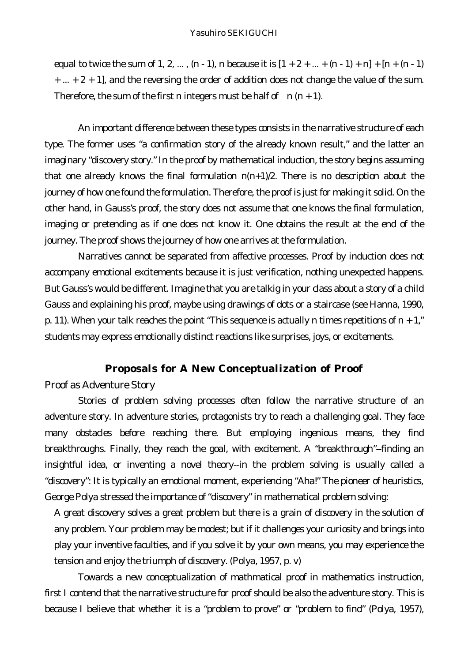equal to twice the sum of 1, 2, ...,  $(n-1)$ , *n* because it is  $[1 + 2 + ... + (n-1) + n] + [n + (n-1)$  $+ ... + 2 + 1$ , and the reversing the order of addition does not change the value of the sum. Therefore, the sum of the first *n* integers must be half of  $n(n+1)$ .

An important difference between these types consists in the narrative structure of each type. The former uses "a confirmation story of the already known result," and the latter an imaginary "discovery story." In the proof by mathematical induction, the story begins assuming that one already knows the final formulation  $n(n+1)/2$ . There is no description about the journey of how one found the formulation. Therefore, the proof is just for making it solid. On the other hand, in Gauss's proof, the story does not assume that one knows the final formulation, imaging or pretending as if one does not know it. One obtains the result at the end of the journey. The proof shows the journey of how one arrives at the formulation.

Narratives cannot be separated from affective processes. Proof by induction does not accompany emotional excitements because it is just verification, nothing unexpected happens. But Gauss's would be different. Imagine that you are talkig in your class about a story of a child Gauss and explaining his proof, maybe using drawings of dots or a staircase (see Hanna, 1990, p. 11). When your talk reaches the point "This sequence is actually *n* times repetitions of *n* + 1," students may express emotionally distinct reactions like surprises, joys, or excitements.

#### **Proposals for A New Conceptualization of Proof**

## *Proof as Adventure Story*

Stories of problem solving processes often follow the narrative structure of an adventure story. In adventure stories, protagonists try to reach a challenging goal. They face many obstacles before reaching there. But employing ingenious means, they find breakthroughs. Finally, they reach the goal, with excitement. A "breakthrough"--finding an insightful idea, or inventing a novel theory--in the problem solving is usually called a "discovery": It is typically an emotional moment, experiencing "Aha!" The pioneer of heuristics, George Polya stressed the importance of "discovery" in mathematical problem solving:

A great discovery solves a great problem but there is a grain of discovery in the solution of any problem. Your problem may be modest; but if it challenges your curiosity and brings into play your inventive faculties, and if you solve it by your own means, you may experience the tension and enjoy the triumph of discovery. (Polya, 1957, p. v)

Towards a new conceptualization of mathmatical proof in mathematics instruction, first I contend that the narrative structure for proof should be also the adventure story. This is because I believe that whether it is a "problem to prove" or "problem to find" (Polya, 1957),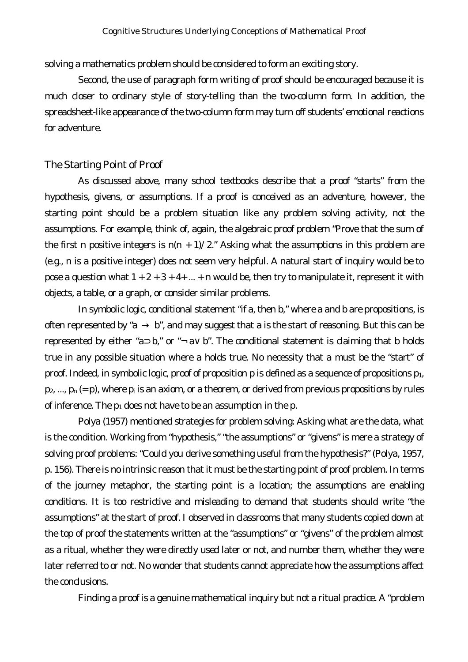solving a mathematics problem should be considered to form an exciting story.

*Second, the use of paragraph form writing of proof should be encouraged* because it is much closer to ordinary style of story-telling than the two-column form. In addition, the spreadsheet-like appearance of the two-column form may turn off students' emotional reactions for adventure.

#### *The Starting Point of Proof*

As discussed above, many school textbooks describe that a proof "starts" from the hypothesis, givens, or assumptions. If a proof is conceived as an adventure, however, the starting point should be a problem situation like any problem solving activity, not the assumptions. For example, think of, again, the algebraic proof problem "Prove that the sum of the first *n* positive integers is  $n(n + 1)/2$ ." Asking what the assumptions in this problem are (e.g., *n* is a positive integer) does not seem very helpful. A natural start of inquiry would be to pose a question what  $1 + 2 + 3 + 4 + ... + n$  would be, then try to manipulate it, represent it with objects, a table, or a graph, or consider similar problems.

In symbolic logic, conditional statement "if *a*, then *b,*" where *a* and *b* are propositions, is often represented by "*a b*", and may suggest that *a* is the start of reasoning. But this can be represented by either "*a*  $b$ ," or " $\neg a$   $b$ ". The conditional statement is claiming that *b* holds true in any possible situation where *a* holds true. No necessity that *a* must be the "start" of proof. Indeed, in symbolic logic, proof of proposition *p* is defined as a sequence of propositions *p1,*   $p_2$ , ...,  $p_n (= p)$ , where  $p_i$  is an axiom, or a theorem, or derived from previous propositions by rules of inference. The *p*1 does not have to be an assumption in the *p*.

Polya (1957) mentioned strategies for problem solving: Asking what are the data, what is the condition. Working from "hypothesis," "the assumptions" or "givens" is mere a strategy of solving proof problems: "Could you derive something useful from the hypothesis?" (Polya, 1957, p. 156). There is no intrinsic reason that it must be the starting point of proof problem. In terms of the journey metaphor, the starting point is a location; the assumptions are enabling conditions. It is too restrictive and misleading to demand that students should write "the assumptions" at the start of proof. I observed in classrooms that many students copied down at the top of proof the statements written at the "assumptions" or "givens" of the problem almost as a ritual, whether they were directly used later or not, and number them, whether they were later referred to or not. No wonder that students cannot appreciate how the assumptions affect the conclusions.

Finding a proof is a genuine mathematical inquiry but not a ritual practice. A "problem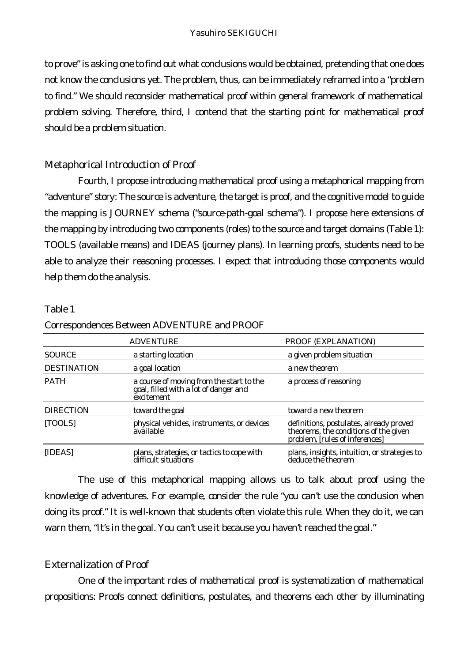to prove" is asking one to find out what conclusions would be obtained, pretending that one does not know the conclusions yet. The problem, thus, can be immediately reframed into a "problem to find." We should reconsider mathematical proof within general framework of mathematical problem solving. Therefore, *third, I contend that the starting point for mathematical proof should be a problem situation*.

# *Metaphorical Introduction of Proof*

*Fourth, I propose introducing mathematical proof using a metaphorical mapping from "adventure" story*: The source is adventure, the target is proof, and the cognitive model to guide the mapping is JOURNEY schema ("source-path-goal schema"). I propose here extensions of the mapping by introducing two components (*roles*) to the source and target domains (Table 1): TOOLS (available means) and IDEAS (journey plans). In learning proofs, students need to be able to analyze their reasoning processes. I expect that introducing those components would help them do the analysis.

### Table 1

|                    | <b>ADVENTURE</b>                                                                                | PROOF (EXPLANATION)                                                                                                |
|--------------------|-------------------------------------------------------------------------------------------------|--------------------------------------------------------------------------------------------------------------------|
| <b>SOURCE</b>      | a starting location                                                                             | a given problem situation                                                                                          |
| <b>DESTINATION</b> | a goal location                                                                                 | a new theorem                                                                                                      |
| <b>PATH</b>        | a course of moving from the start to the<br>goal, filled with a lot of danger and<br>excitement | a process of reasoning                                                                                             |
| <b>DIRECTION</b>   | toward the goal                                                                                 | toward a new theorem                                                                                               |
| [TOOLS]            | physical vehicles, instruments, or devices<br>available                                         | definitions, postulates, already proved<br>theorems, the conditions of the given<br>problem, [rules of inferences] |
| [IDEAS]            | plans, strategies, or tactics to cope with<br>difficult situations                              | plans, insights, intuition, or strategies to<br>deduce the theorem                                                 |

### *Correspondences Between ADVENTURE and PROOF*

The use of this metaphorical mapping allows us to talk about proof using the knowledge of adventures. For example, consider the rule "you can't use the conclusion when doing its proof." It is well-known that students often violate this rule. When they do it, we can warn them, "It's in the goal. You can't use it because you haven't reached the goal."

# *Externalization of Proof*

One of the important roles of mathematical proof is systematization of mathematical propositions: Proofs connect definitions, postulates, and theorems each other by illuminating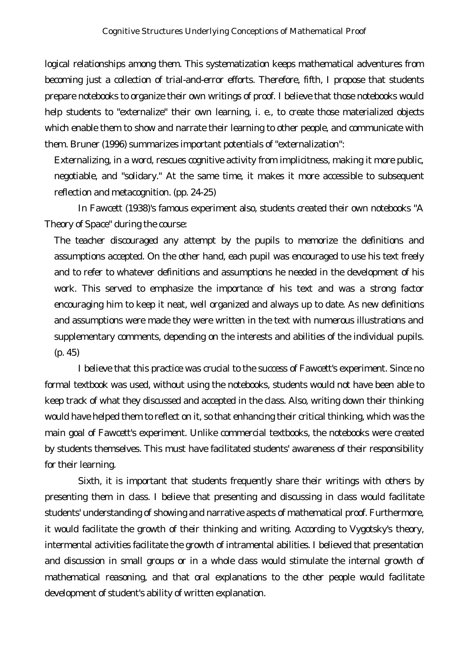logical relationships among them. This systematization keeps mathematical adventures from becoming just a collection of trial-and-error efforts. Therefore, *fifth, I propose that students prepare notebooks to organize their own writings of proof.* I believe that those notebooks would help students to "externalize" their own learning, i. e., to create those materialized objects which enable them to *show* and *narrate* their learning to other people, and communicate with them. Bruner (1996) summarizes important potentials of "externalization":

Externalizing, in a word, rescues cognitive activity from implicitness, making it more public, negotiable, and "solidary." At the same time, it makes it more accessible to subsequent reflection and metacognition. (pp. 24-25)

In Fawcett (1938)'s famous experiment also, students created their own notebooks "A Theory of Space" during the course:

The teacher discouraged any attempt by the pupils to memorize the definitions and assumptions accepted. On the other hand, each pupil was encouraged to use his text freely and to refer to whatever definitions and assumptions he needed in the development of his work. This served to emphasize the importance of his text and was a strong factor encouraging him to keep it neat, well organized and always up to date. As new definitions and assumptions were made they were written in the text with numerous illustrations and supplementary comments, depending on the interests and abilities of the individual pupils. (p. 45)

I believe that this practice was crucial to the success of Fawcett's experiment. Since no formal textbook was used, without using the notebooks, students would not have been able to keep track of what they discussed and accepted in the class. Also, writing down their thinking would have helped them to reflect on it, so that enhancing their critical thinking, which was the main goal of Fawcett's experiment. Unlike commercial textbooks, the notebooks were created by students themselves. This must have facilitated students' awareness of their responsibility for their learning.

*Sixth, it is important that students frequently share their writings with others by presenting them in class*. I believe that presenting and discussing in class would facilitate students' understanding of *showing* and *narrative* aspects of mathematical proof. Furthermore, it would facilitate the growth of their thinking and writing. According to Vygotsky's theory, intermental activities facilitate the growth of intramental abilities. I believed that presentation and discussion in small groups or in a whole class would stimulate the internal growth of mathematical reasoning, and that oral explanations to the other people would facilitate development of student's ability of written explanation.